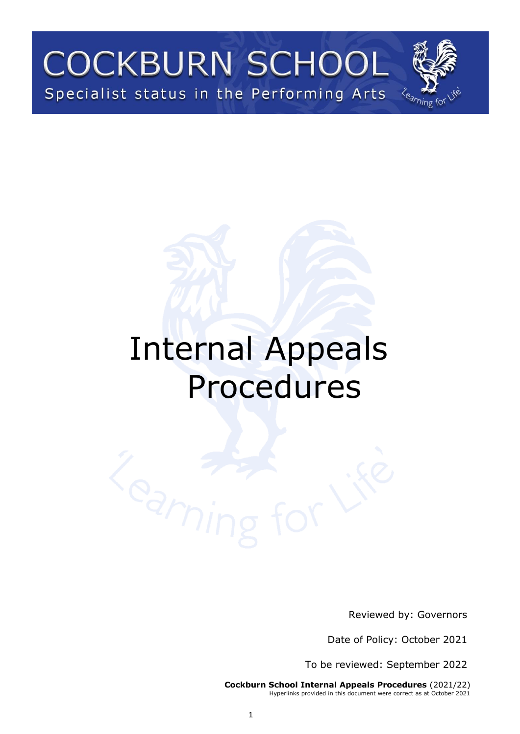

# Internal Appeals Procedures



Reviewed by: Governors

Date of Policy: October 2021

To be reviewed: September 2022

**Cockburn School Internal Appeals Procedures** (2021/22) Hyperlinks provided in this document were correct as at October 2021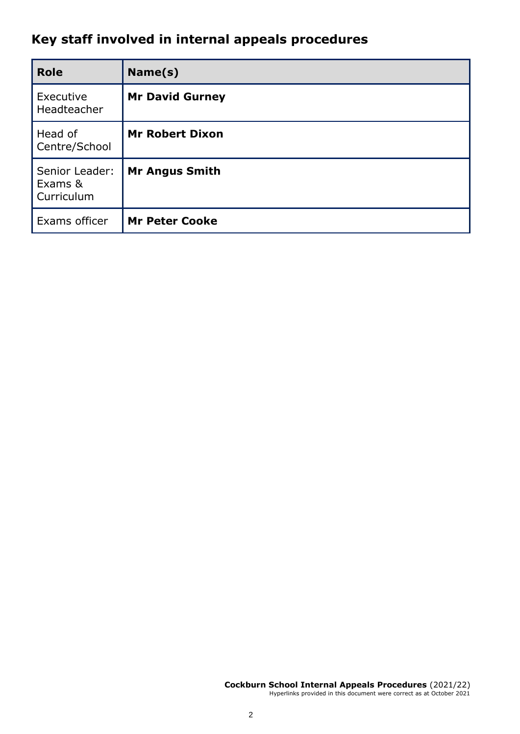## **Key staff involved in internal appeals procedures**

| <b>Role</b>                             | Name(s)                |
|-----------------------------------------|------------------------|
| Executive<br>Headteacher                | <b>Mr David Gurney</b> |
| Head of<br>Centre/School                | <b>Mr Robert Dixon</b> |
| Senior Leader:<br>Exams &<br>Curriculum | <b>Mr Angus Smith</b>  |
| Exams officer                           | <b>Mr Peter Cooke</b>  |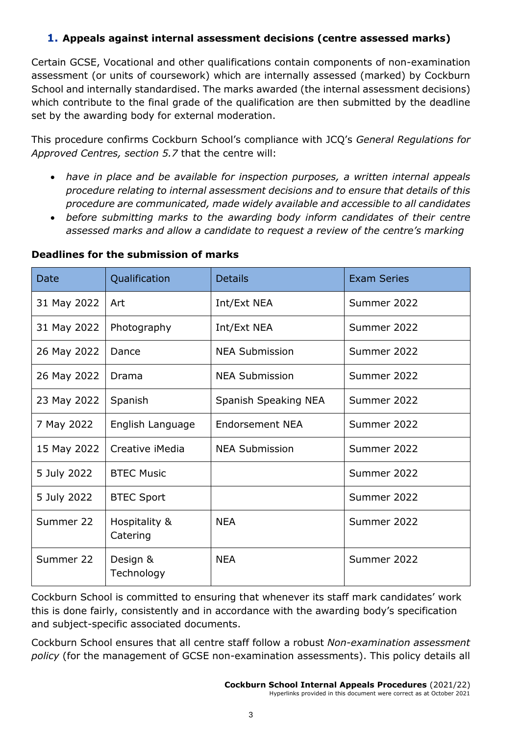#### **1. Appeals against internal assessment decisions (centre assessed marks)**

Certain GCSE, Vocational and other qualifications contain components of non-examination assessment (or units of coursework) which are internally assessed (marked) by Cockburn School and internally standardised. The marks awarded (the internal assessment decisions) which contribute to the final grade of the qualification are then submitted by the deadline set by the awarding body for external moderation.

This procedure confirms Cockburn School's compliance with JCQ's *General Regulations for Approved Centres, section 5.7* that the centre will:

- *have in place and be available for inspection purposes, a written internal appeals procedure relating to internal assessment decisions and to ensure that details of this procedure are communicated, made widely available and accessible to all candidates*
- before submitting marks to the awarding body inform candidates of their centre *assessed marks and allow a candidate to request a review of the centre's marking*

| <b>Date</b> | Qualification             | <b>Details</b>         | <b>Exam Series</b> |  |
|-------------|---------------------------|------------------------|--------------------|--|
| 31 May 2022 | Art                       | Int/Ext NEA            | Summer 2022        |  |
| 31 May 2022 | Photography               | Int/Ext NEA            | Summer 2022        |  |
| 26 May 2022 | Dance                     | <b>NEA Submission</b>  | Summer 2022        |  |
| 26 May 2022 | Drama                     | <b>NEA Submission</b>  | Summer 2022        |  |
| 23 May 2022 | Spanish                   | Spanish Speaking NEA   | Summer 2022        |  |
| 7 May 2022  | English Language          | <b>Endorsement NEA</b> | Summer 2022        |  |
| 15 May 2022 | Creative iMedia           | <b>NEA Submission</b>  | Summer 2022        |  |
| 5 July 2022 | <b>BTEC Music</b>         |                        | Summer 2022        |  |
| 5 July 2022 | <b>BTEC Sport</b>         |                        | Summer 2022        |  |
| Summer 22   | Hospitality &<br>Catering | <b>NEA</b>             | Summer 2022        |  |
| Summer 22   | Design &<br>Technology    | <b>NEA</b>             | Summer 2022        |  |

#### **Deadlines for the submission of marks**

Cockburn School is committed to ensuring that whenever its staff mark candidates' work this is done fairly, consistently and in accordance with the awarding body's specification and subject-specific associated documents.

Cockburn School ensures that all centre staff follow a robust *Non-examination assessment policy* (for the management of GCSE non-examination assessments). This policy details all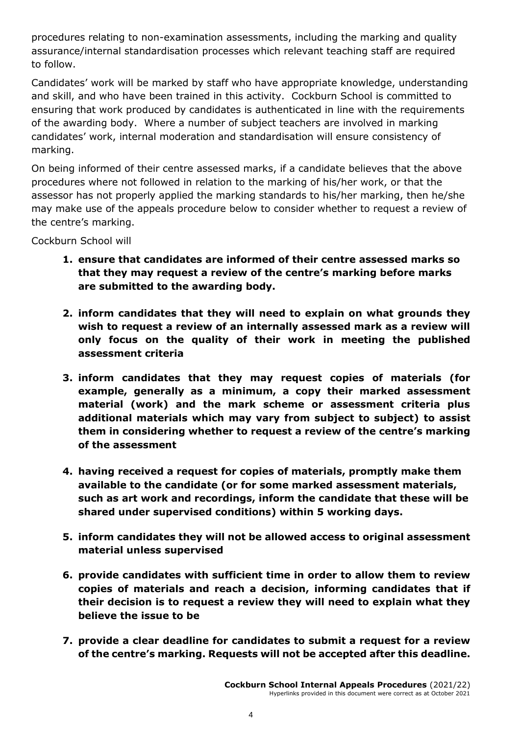procedures relating to non-examination assessments, including the marking and quality assurance/internal standardisation processes which relevant teaching staff are required to follow.

Candidates' work will be marked by staff who have appropriate knowledge, understanding and skill, and who have been trained in this activity. Cockburn School is committed to ensuring that work produced by candidates is authenticated in line with the requirements of the awarding body. Where a number of subject teachers are involved in marking candidates' work, internal moderation and standardisation will ensure consistency of marking.

On being informed of their centre assessed marks, if a candidate believes that the above procedures where not followed in relation to the marking of his/her work, or that the assessor has not properly applied the marking standards to his/her marking, then he/she may make use of the appeals procedure below to consider whether to request a review of the centre's marking.

Cockburn School will

- **1. ensure that candidates are informed of their centre assessed marks so that they may request a review of the centre's marking before marks are submitted to the awarding body.**
- **2. inform candidates that they will need to explain on what grounds they wish to request a review of an internally assessed mark as a review will only focus on the quality of their work in meeting the published assessment criteria**
- **3. inform candidates that they may request copies of materials (for example, generally as a minimum, a copy their marked assessment material (work) and the mark scheme or assessment criteria plus additional materials which may vary from subject to subject) to assist them in considering whether to request a review of the centre's marking of the assessment**
- **4. having received a request for copies of materials, promptly make them available to the candidate (or for some marked assessment materials, such as art work and recordings, inform the candidate that these will be shared under supervised conditions) within 5 working days.**
- **5. inform candidates they will not be allowed access to original assessment material unless supervised**
- **6. provide candidates with sufficient time in order to allow them to review copies of materials and reach a decision, informing candidates that if their decision is to request a review they will need to explain what they believe the issue to be**
- **7. provide a clear deadline for candidates to submit a request for a review of the centre's marking. Requests will not be accepted after this deadline.**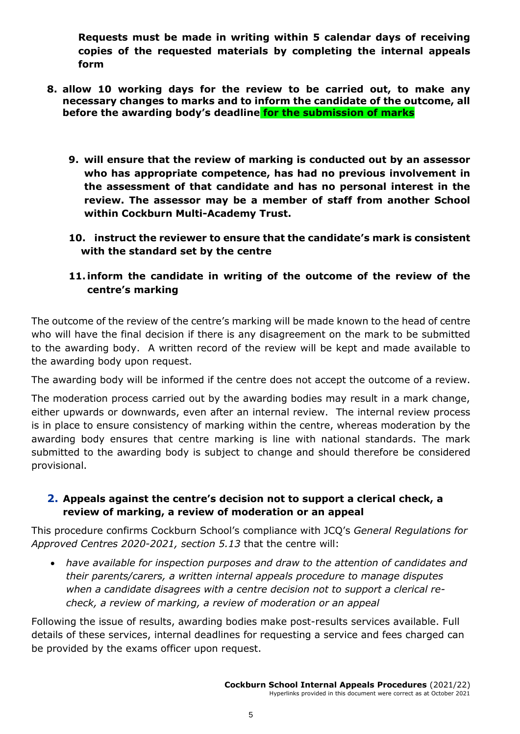**Requests must be made in writing within 5 calendar days of receiving copies of the requested materials by completing the internal appeals form**

- **8. allow 10 working days for the review to be carried out, to make any necessary changes to marks and to inform the candidate of the outcome, all before the awarding body's deadline for the submission of marks**
	- **9. will ensure that the review of marking is conducted out by an assessor who has appropriate competence, has had no previous involvement in the assessment of that candidate and has no personal interest in the review. The assessor may be a member of staff from another School within Cockburn Multi-Academy Trust.**
	- **10. instruct the reviewer to ensure that the candidate's mark is consistent with the standard set by the centre**
	- **11.inform the candidate in writing of the outcome of the review of the centre's marking**

The outcome of the review of the centre's marking will be made known to the head of centre who will have the final decision if there is any disagreement on the mark to be submitted to the awarding body. A written record of the review will be kept and made available to the awarding body upon request.

The awarding body will be informed if the centre does not accept the outcome of a review.

The moderation process carried out by the awarding bodies may result in a mark change, either upwards or downwards, even after an internal review. The internal review process is in place to ensure consistency of marking within the centre, whereas moderation by the awarding body ensures that centre marking is line with national standards. The mark submitted to the awarding body is subject to change and should therefore be considered provisional.

#### **2. Appeals against the centre's decision not to support a clerical check, a review of marking, a review of moderation or an appeal**

This procedure confirms Cockburn School's compliance with JCQ's *General Regulations for Approved Centres 2020-2021, section 5.13* that the centre will:

• *have available for inspection purposes and draw to the attention of candidates and their parents/carers, a written internal appeals procedure to manage disputes when a candidate disagrees with a centre decision not to support a clerical recheck, a review of marking, a review of moderation or an appeal*

Following the issue of results, awarding bodies make post-results services available. Full details of these services, internal deadlines for requesting a service and fees charged can be provided by the exams officer upon request.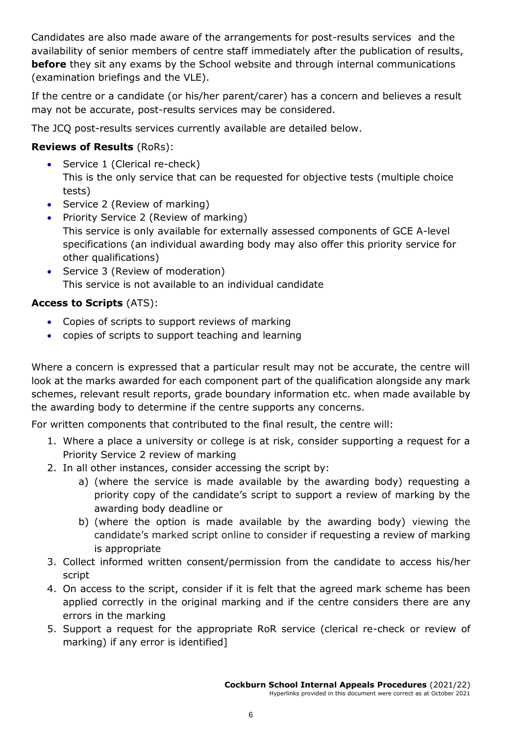Candidates are also made aware of the arrangements for post-results services and the availability of senior members of centre staff immediately after the publication of results, **before** they sit any exams by the School website and through internal communications (examination briefings and the VLE).

If the centre or a candidate (or his/her parent/carer) has a concern and believes a result may not be accurate, post-results services may be considered.

The JCQ post-results services currently available are detailed below.

#### **Reviews of Results** (RoRs):

- Service 1 (Clerical re-check) This is the only service that can be requested for objective tests (multiple choice tests)
- Service 2 (Review of marking)
- Priority Service 2 (Review of marking) This service is only available for externally assessed components of GCE A-level specifications (an individual awarding body may also offer this priority service for other qualifications)
- Service 3 (Review of moderation) This service is not available to an individual candidate

#### **Access to Scripts** (ATS):

- Copies of scripts to support reviews of marking
- copies of scripts to support teaching and learning

Where a concern is expressed that a particular result may not be accurate, the centre will look at the marks awarded for each component part of the qualification alongside any mark schemes, relevant result reports, grade boundary information etc. when made available by the awarding body to determine if the centre supports any concerns.

For written components that contributed to the final result, the centre will:

- 1. Where a place a university or college is at risk, consider supporting a request for a Priority Service 2 review of marking
- 2. In all other instances, consider accessing the script by:
	- a) (where the service is made available by the awarding body) requesting a priority copy of the candidate's script to support a review of marking by the awarding body deadline or
	- b) (where the option is made available by the awarding body) viewing the candidate's marked script online to consider if requesting a review of marking is appropriate
- 3. Collect informed written consent/permission from the candidate to access his/her script
- 4. On access to the script, consider if it is felt that the agreed mark scheme has been applied correctly in the original marking and if the centre considers there are any errors in the marking
- 5. Support a request for the appropriate RoR service (clerical re-check or review of marking) if any error is identified]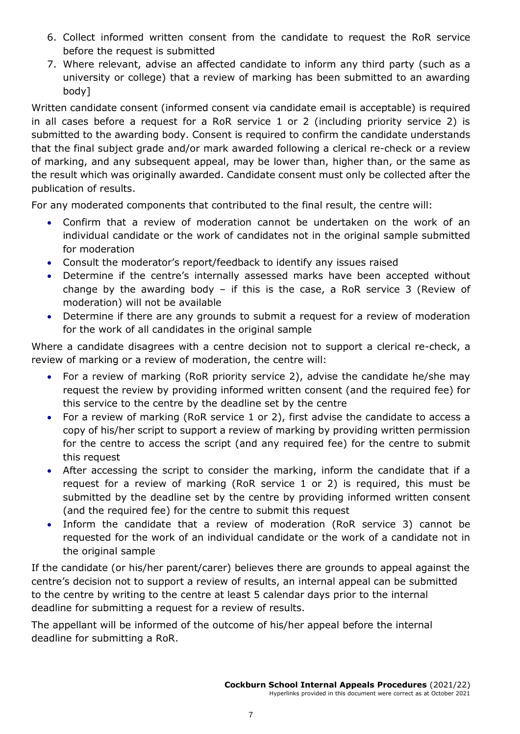- 6. Collect informed written consent from the candidate to request the RoR service before the request is submitted
- 7. Where relevant, advise an affected candidate to inform any third party (such as a university or college) that a review of marking has been submitted to an awarding body]

Written candidate consent (informed consent via candidate email is acceptable) is required in all cases before a request for a RoR service 1 or 2 (including priority service 2) is submitted to the awarding body. Consent is required to confirm the candidate understands that the final subject grade and/or mark awarded following a clerical re-check or a review of marking, and any subsequent appeal, may be lower than, higher than, or the same as the result which was originally awarded. Candidate consent must only be collected after the publication of results.

For any moderated components that contributed to the final result, the centre will:

- Confirm that a review of moderation cannot be undertaken on the work of an individual candidate or the work of candidates not in the original sample submitted for moderation
- Consult the moderator's report/feedback to identify any issues raised
- Determine if the centre's internally assessed marks have been accepted without change by the awarding body – if this is the case, a RoR service 3 (Review of moderation) will not be available
- Determine if there are any grounds to submit a request for a review of moderation for the work of all candidates in the original sample

Where a candidate disagrees with a centre decision not to support a clerical re-check, a review of marking or a review of moderation, the centre will:

- For a review of marking (RoR priority service 2), advise the candidate he/she may request the review by providing informed written consent (and the required fee) for this service to the centre by the deadline set by the centre
- For a review of marking (RoR service 1 or 2), first advise the candidate to access a copy of his/her script to support a review of marking by providing written permission for the centre to access the script (and any required fee) for the centre to submit this request
- After accessing the script to consider the marking, inform the candidate that if a request for a review of marking (RoR service 1 or 2) is required, this must be submitted by the deadline set by the centre by providing informed written consent (and the required fee) for the centre to submit this request
- Inform the candidate that a review of moderation (RoR service 3) cannot be requested for the work of an individual candidate or the work of a candidate not in the original sample

If the candidate (or his/her parent/carer) believes there are grounds to appeal against the centre's decision not to support a review of results, an internal appeal can be submitted to the centre by writing to the centre at least 5 calendar days prior to the internal deadline for submitting a request for a review of results.

The appellant will be informed of the outcome of his/her appeal before the internal deadline for submitting a RoR.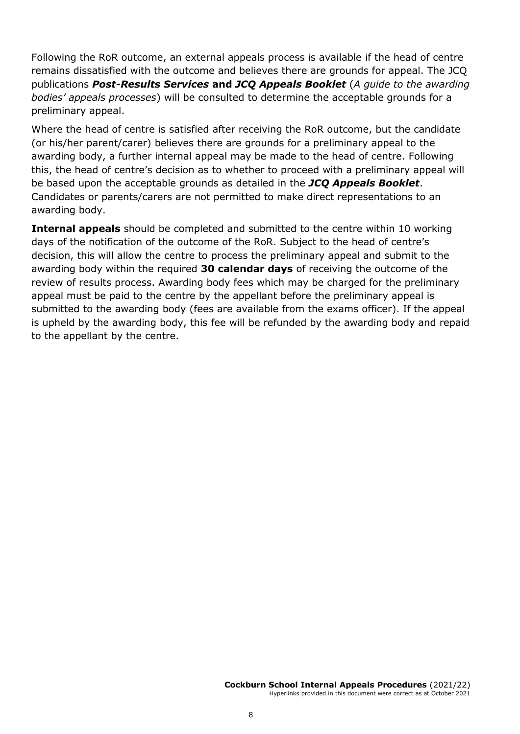Following the RoR outcome, an external appeals process is available if the head of centre remains dissatisfied with the outcome and believes there are grounds for appeal. The JCQ publications *Post-Results Services* **and** *JCQ Appeals Booklet* (*A guide to the awarding bodies' appeals processes*) will be consulted to determine the acceptable grounds for a preliminary appeal.

Where the head of centre is satisfied after receiving the RoR outcome, but the candidate (or his/her parent/carer) believes there are grounds for a preliminary appeal to the awarding body, a further internal appeal may be made to the head of centre. Following this, the head of centre's decision as to whether to proceed with a preliminary appeal will be based upon the acceptable grounds as detailed in the *JCQ Appeals Booklet*. Candidates or parents/carers are not permitted to make direct representations to an awarding body.

**Internal appeals** should be completed and submitted to the centre within 10 working days of the notification of the outcome of the RoR. Subject to the head of centre's decision, this will allow the centre to process the preliminary appeal and submit to the awarding body within the required **30 calendar days** of receiving the outcome of the review of results process. Awarding body fees which may be charged for the preliminary appeal must be paid to the centre by the appellant before the preliminary appeal is submitted to the awarding body (fees are available from the exams officer). If the appeal is upheld by the awarding body, this fee will be refunded by the awarding body and repaid to the appellant by the centre.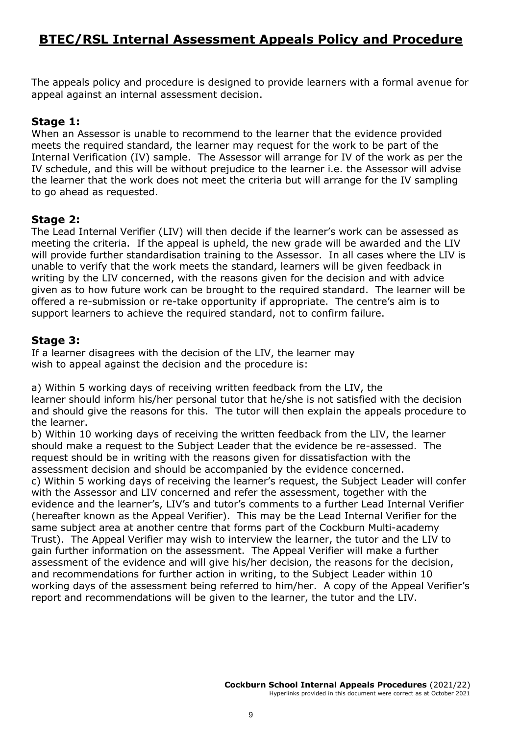### **BTEC/RSL Internal Assessment Appeals Policy and Procedure**

The appeals policy and procedure is designed to provide learners with a formal avenue for appeal against an internal assessment decision.

#### **Stage 1:**

When an Assessor is unable to recommend to the learner that the evidence provided meets the required standard, the learner may request for the work to be part of the Internal Verification (IV) sample. The Assessor will arrange for IV of the work as per the IV schedule, and this will be without prejudice to the learner i.e. the Assessor will advise the learner that the work does not meet the criteria but will arrange for the IV sampling to go ahead as requested.

#### **Stage 2:**

The Lead Internal Verifier (LIV) will then decide if the learner's work can be assessed as meeting the criteria. If the appeal is upheld, the new grade will be awarded and the LIV will provide further standardisation training to the Assessor. In all cases where the LIV is unable to verify that the work meets the standard, learners will be given feedback in writing by the LIV concerned, with the reasons given for the decision and with advice given as to how future work can be brought to the required standard. The learner will be offered a re-submission or re-take opportunity if appropriate. The centre's aim is to support learners to achieve the required standard, not to confirm failure.

#### **Stage 3:**

If a learner disagrees with the decision of the LIV, the learner may wish to appeal against the decision and the procedure is:

a) Within 5 working days of receiving written feedback from the LIV, the learner should inform his/her personal tutor that he/she is not satisfied with the decision and should give the reasons for this. The tutor will then explain the appeals procedure to the learner.

b) Within 10 working days of receiving the written feedback from the LIV, the learner should make a request to the Subject Leader that the evidence be re-assessed. The request should be in writing with the reasons given for dissatisfaction with the assessment decision and should be accompanied by the evidence concerned.

c) Within 5 working days of receiving the learner's request, the Subject Leader will confer with the Assessor and LIV concerned and refer the assessment, together with the evidence and the learner's, LIV's and tutor's comments to a further Lead Internal Verifier (hereafter known as the Appeal Verifier). This may be the Lead Internal Verifier for the same subject area at another centre that forms part of the Cockburn Multi-academy Trust). The Appeal Verifier may wish to interview the learner, the tutor and the LIV to gain further information on the assessment. The Appeal Verifier will make a further assessment of the evidence and will give his/her decision, the reasons for the decision, and recommendations for further action in writing, to the Subject Leader within 10 working days of the assessment being referred to him/her. A copy of the Appeal Verifier's report and recommendations will be given to the learner, the tutor and the LIV.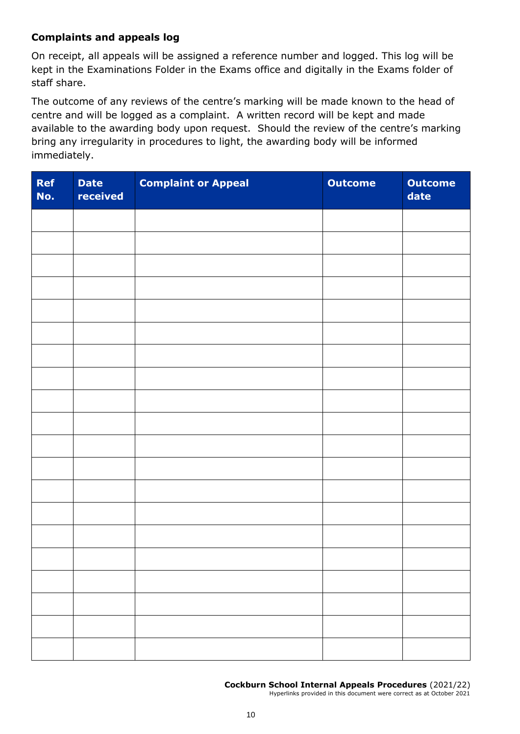#### **Complaints and appeals log**

On receipt, all appeals will be assigned a reference number and logged. This log will be kept in the Examinations Folder in the Exams office and digitally in the Exams folder of staff share.

The outcome of any reviews of the centre's marking will be made known to the head of centre and will be logged as a complaint. A written record will be kept and made available to the awarding body upon request. Should the review of the centre's marking bring any irregularity in procedures to light, the awarding body will be informed immediately.

| <b>Ref</b><br>No. | <b>Date</b><br>received | <b>Complaint or Appeal</b> | <b>Outcome</b> | <b>Outcome</b><br>date |
|-------------------|-------------------------|----------------------------|----------------|------------------------|
|                   |                         |                            |                |                        |
|                   |                         |                            |                |                        |
|                   |                         |                            |                |                        |
|                   |                         |                            |                |                        |
|                   |                         |                            |                |                        |
|                   |                         |                            |                |                        |
|                   |                         |                            |                |                        |
|                   |                         |                            |                |                        |
|                   |                         |                            |                |                        |
|                   |                         |                            |                |                        |
|                   |                         |                            |                |                        |
|                   |                         |                            |                |                        |
|                   |                         |                            |                |                        |
|                   |                         |                            |                |                        |
|                   |                         |                            |                |                        |
|                   |                         |                            |                |                        |
|                   |                         |                            |                |                        |
|                   |                         |                            |                |                        |
|                   |                         |                            |                |                        |
|                   |                         |                            |                |                        |

**Cockburn School Internal Appeals Procedures** (2021/22)

Hyperlinks provided in this document were correct as at October 2021